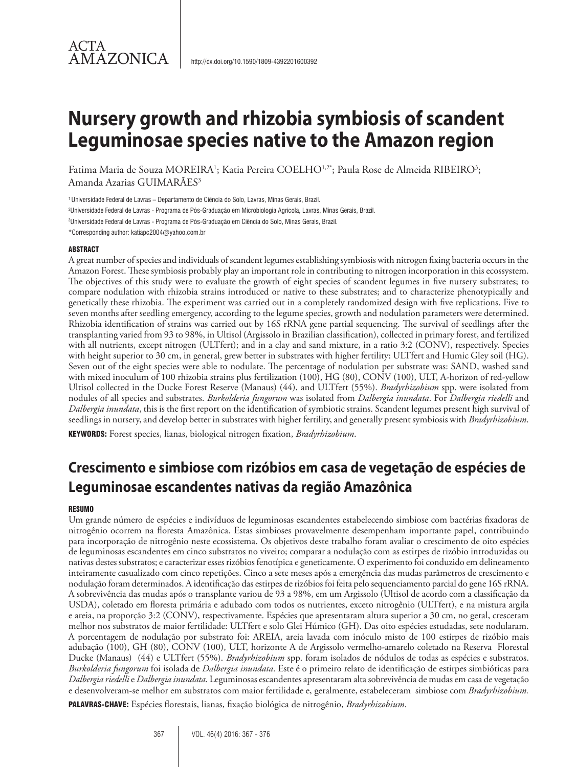# **Nursery growth and rhizobia symbiosis of scandent Leguminosae species native to the Amazon region**

Fatima Maria de Souza MOREIRA<sup>1</sup>; Katia Pereira COELHO<sup>1,2\*</sup>; Paula Rose de Almeida RIBEIRO<sup>3</sup>; Amanda Azarias GUIMARÃES<sup>3</sup>

1 Universidade Federal de Lavras – Departamento de Ciência do Solo, Lavras, Minas Gerais, Brazil.

2 Universidade Federal de Lavras - Programa de Pós-Graduação em Microbiologia Agrícola, Lavras, Minas Gerais, Brazil.

3 Universidade Federal de Lavras - Programa de Pós-Graduação em Ciência do Solo, Minas Gerais, Brazil.

\*Corresponding author: katiapc2004@yahoo.com.br

#### ABSTRACT

ACTA

AMAZONICA

A great number of species and individuals of scandent legumes establishing symbiosis with nitrogen fixing bacteria occurs in the Amazon Forest. These symbiosis probably play an important role in contributing to nitrogen incorporation in this ecossystem. The objectives of this study were to evaluate the growth of eight species of scandent legumes in five nursery substrates; to compare nodulation with rhizobia strains introduced or native to these substrates; and to characterize phenotypically and genetically these rhizobia. The experiment was carried out in a completely randomized design with five replications. Five to seven months after seedling emergency, according to the legume species, growth and nodulation parameters were determined. Rhizobia identification of strains was carried out by 16S rRNA gene partial sequencing. The survival of seedlings after the transplanting varied from 93 to 98%, in Ultisol (Argissolo in Brazilian classification), collected in primary forest, and fertilized with all nutrients, except nitrogen (ULTfert); and in a clay and sand mixture, in a ratio 3:2 (CONV), respectively. Species with height superior to 30 cm, in general, grew better in substrates with higher fertility: ULTfert and Humic Gley soil (HG). Seven out of the eight species were able to nodulate. The percentage of nodulation per substrate was: SAND, washed sand with mixed inoculum of 100 rhizobia strains plus fertilization (100), HG (80), CONV (100), ULT, A-horizon of red-yellow Ultisol collected in the Ducke Forest Reserve (Manaus) (44), and ULTfert (55%). *Bradyrhizobium* spp. were isolated from nodules of all species and substrates. *Burkolderia fungorum* was isolated from *Dalbergia inundata*. For *Dalbergia riedelli* and *Dalbergia inundata*, this is the first report on the identification of symbiotic strains. Scandent legumes present high survival of seedlings in nursery, and develop better in substrates with higher fertility, and generally present symbiosis with *Bradyrhizobium*.

KEYWORDS: Forest species, lianas, biological nitrogen fixation, *Bradyrhizobium*.

# **Crescimento e simbiose com rizóbios em casa de vegetação de espécies de Leguminosae escandentes nativas da região Amazônica**

#### **RESUMO**

Um grande número de espécies e indivíduos de leguminosas escandentes estabelecendo simbiose com bactérias fixadoras de nitrogênio ocorrem na floresta Amazônica. Estas simbioses provavelmente desempenham importante papel, contribuindo para incorporação de nitrogênio neste ecossistema. Os objetivos deste trabalho foram avaliar o crescimento de oito espécies de leguminosas escandentes em cinco substratos no viveiro; comparar a nodulação com as estirpes de rizóbio introduzidas ou nativas destes substratos; e caracterizar esses rizóbios fenotípica e geneticamente. O experimento foi conduzido em delineamento inteiramente casualizado com cinco repetições. Cinco a sete meses após a emergência das mudas parâmetros de crescimento e nodulação foram determinados. A identificação das estirpes de rizóbios foi feita pelo sequenciamento parcial do gene 16S rRNA. A sobrevivência das mudas após o transplante variou de 93 a 98%, em um Argissolo (Ultisol de acordo com a classificação da USDA), coletado em floresta primária e adubado com todos os nutrientes, exceto nitrogênio (ULTfert), e na mistura argila e areia, na proporção 3:2 (CONV), respectivamente. Espécies que apresentaram altura superior a 30 cm, no geral, cresceram melhor nos substratos de maior fertilidade: ULTfert e solo Glei Húmico (GH). Das oito espécies estudadas, sete nodularam. A porcentagem de nodulação por substrato foi: AREIA, areia lavada com inóculo misto de 100 estirpes de rizóbio mais adubação (100), GH (80), CONV (100), ULT, horizonte A de Argissolo vermelho-amarelo coletado na Reserva Florestal Ducke (Manaus) (44) e ULTfert (55%). *Bradyrhizobium* spp. foram isolados de nódulos de todas as espécies e substratos. *Burkolderia fungorum* foi isolada de *Dalbergia inundata*. Este é o primeiro relato de identificação de estirpes simbióticas para *Dalbergia riedelli* e *Dalbergia inundata*. Leguminosas escandentes apresentaram alta sobrevivência de mudas em casa de vegetação e desenvolveram-se melhor em substratos com maior fertilidade e, geralmente, estabeleceram simbiose com *Bradyrhizobium.*  PALAVRAS-CHAVE: Espécies florestais, lianas, fixação biológica de nitrogênio, *Bradyrhizobium*.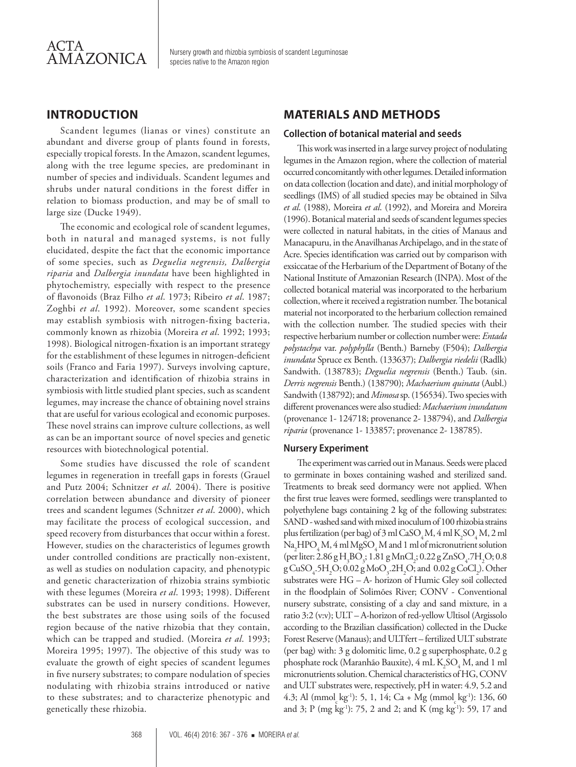

Nursery growth and rhizobia symbiosis of scandent Leguminosae species native to the Amazon region

## **INTRODUCTION**

Scandent legumes (lianas or vines) constitute an abundant and diverse group of plants found in forests, especially tropical forests. In the Amazon, scandent legumes, along with the tree legume species, are predominant in number of species and individuals. Scandent legumes and shrubs under natural conditions in the forest differ in relation to biomass production, and may be of small to large size (Ducke 1949).

The economic and ecological role of scandent legumes, both in natural and managed systems, is not fully elucidated, despite the fact that the economic importance of some species, such as *Deguelia negrensis, Dalbergia riparia* and *Dalbergia inundata* have been highlighted in phytochemistry, especially with respect to the presence of flavonoids (Braz Filho *et al*. 1973; Ribeiro *et al*. 1987; Zoghbi *et al*. 1992). Moreover, some scandent species may establish symbiosis with nitrogen-fixing bacteria, commonly known as rhizobia (Moreira *et al*. 1992; 1993; 1998). Biological nitrogen-fixation is an important strategy for the establishment of these legumes in nitrogen-deficient soils (Franco and Faria 1997). Surveys involving capture, characterization and identification of rhizobia strains in symbiosis with little studied plant species, such as scandent legumes, may increase the chance of obtaining novel strains that are useful for various ecological and economic purposes. These novel strains can improve culture collections, as well as can be an important source of novel species and genetic resources with biotechnological potential.

Some studies have discussed the role of scandent legumes in regeneration in treefall gaps in forests (Grauel and Putz 2004; Schnitzer *et al*. 2004). There is positive correlation between abundance and diversity of pioneer trees and scandent legumes (Schnitzer *et al*. 2000), which may facilitate the process of ecological succession, and speed recovery from disturbances that occur within a forest. However, studies on the characteristics of legumes growth under controlled conditions are practically non-existent, as well as studies on nodulation capacity, and phenotypic and genetic characterization of rhizobia strains symbiotic with these legumes (Moreira *et al*. 1993; 1998). Different substrates can be used in nursery conditions. However, the best substrates are those using soils of the focused region because of the native rhizobia that they contain, which can be trapped and studied. (Moreira *et al*. 1993; Moreira 1995; 1997). The objective of this study was to evaluate the growth of eight species of scandent legumes in five nursery substrates; to compare nodulation of species nodulating with rhizobia strains introduced or native to these substrates; and to characterize phenotypic and genetically these rhizobia.

## **MATERIALS AND METHODS**

#### **Collection of botanical material and seeds**

This work was inserted in a large survey project of nodulating legumes in the Amazon region, where the collection of material occurred concomitantly with other legumes. Detailed information on data collection (location and date), and initial morphology of seedlings (IMS) of all studied species may be obtained in Silva *et al*. (1988), Moreira *et al*. (1992), and Moreira and Moreira (1996). Botanical material and seeds of scandent legumes species were collected in natural habitats, in the cities of Manaus and Manacapuru, in the Anavilhanas Archipelago, and in the state of Acre. Species identification was carried out by comparison with exsiccatae of the Herbarium of the Department of Botany of the National Institute of Amazonian Research (INPA). Most of the collected botanical material was incorporated to the herbarium collection, where it received a registration number. The botanical material not incorporated to the herbarium collection remained with the collection number. The studied species with their respective herbarium number or collection number were: *Entada polystachya* var. *polyphylla* (Benth.) Barneby (F504); *Dalbergia inundata* Spruce ex Benth. (133637); *Dalbergia riedelii* (Radlk) Sandwith. (138783); *Deguelia negrensis* (Benth.) Taub. (sin. *Derris negrensis* Benth.) (138790); *Machaerium quinata* (Aubl.) Sandwith (138792); and *Mimosa* sp. (156534). Two species with different provenances were also studied: *Machaerium inundatum* (provenance 1- 124718; provenance 2- 138794), and *Dalbergia riparia* (provenance 1- 133857; provenance 2- 138785).

#### **Nursery Experiment**

The experiment was carried out in Manaus. Seeds were placed to germinate in boxes containing washed and sterilized sand. Treatments to break seed dormancy were not applied. When the first true leaves were formed, seedlings were transplanted to polyethylene bags containing 2 kg of the following substrates: SAND - washed sand with mixed inoculum of 100 rhizobia strains plus fertilization (per bag) of 3 ml CaSO<sub>4</sub>M, 4 ml K<sub>2</sub>SO<sub>4</sub>M, 2 ml  $\text{Na}_2\text{HPO}_4\text{M}$ , 4 ml  $\text{MgSO}_4\text{M}$  and 1 ml of micronutrient solution (per liter:  $2.86 \text{ g H}_3\text{BO}_3$ ;  $1.81 \text{ g MnCl}_2$ ;  $0.22 \text{ g ZnSO}_4$ .7 $\text{H}_2\text{O}$ ;  $0.8$  $\text{gCuSO}_4$ -5H<sub>2</sub>O; 0.02  $\text{gMoO}_3$ -2H<sub>2</sub>O; and 0.02  $\text{gCoCl}_2$ ). Other substrates were HG – A- horizon of Humic Gley soil collected in the floodplain of Solimões River; CONV - Conventional nursery substrate, consisting of a clay and sand mixture, in a ratio 3:2 (v:v); ULT – A-horizon of red-yellow Ultisol (Argissolo according to the Brazilian classification) collected in the Ducke Forest Reserve (Manaus); and ULTfert – fertilized ULT substrate (per bag) with: 3 g dolomitic lime, 0.2 g superphosphate, 0.2 g phosphate rock (Maranhão Bauxite), 4 mL  $K_2SO_4M$ , and 1 ml micronutrients solution. Chemical characteristics of HG, CONV and ULT substrates were, respectively, pH in water: 4.9, 5.2 and 4.3; Al (mmol<sub>s</sub> kg<sup>-1</sup>): 5, 1, 14; Ca + Mg (mmol<sub>s</sub> kg<sup>-1</sup>): 136, 60 and 3; P (mg kg<sup>-1</sup>): 75, 2 and 2; and K (mg kg<sup>-1</sup>): 59, 17 and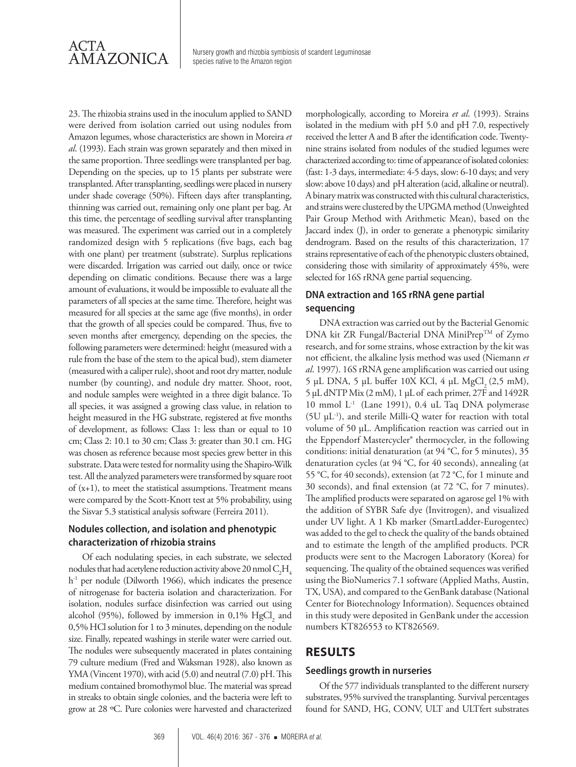

 $\overline{\text{AMAZONICA}}$  Nursery growth and rhizobia symbiosis of scandent Leguminosae species native to the Amazon region

23. The rhizobia strains used in the inoculum applied to SAND were derived from isolation carried out using nodules from Amazon legumes, whose characteristics are shown in Moreira *et al*. (1993). Each strain was grown separately and then mixed in the same proportion. Three seedlings were transplanted per bag. Depending on the species, up to 15 plants per substrate were transplanted. After transplanting, seedlings were placed in nursery under shade coverage (50%). Fifteen days after transplanting, thinning was carried out, remaining only one plant per bag. At this time, the percentage of seedling survival after transplanting was measured. The experiment was carried out in a completely randomized design with 5 replications (five bags, each bag with one plant) per treatment (substrate). Surplus replications were discarded. Irrigation was carried out daily, once or twice depending on climatic conditions. Because there was a large amount of evaluations, it would be impossible to evaluate all the parameters of all species at the same time. Therefore, height was measured for all species at the same age (five months), in order that the growth of all species could be compared. Thus, five to seven months after emergency, depending on the species, the following parameters were determined: height (measured with a rule from the base of the stem to the apical bud), stem diameter (measured with a caliper rule), shoot and root dry matter, nodule number (by counting), and nodule dry matter. Shoot, root, and nodule samples were weighted in a three digit balance. To all species, it was assigned a growing class value, in relation to height measured in the HG substrate, registered at five months of development, as follows: Class 1: less than or equal to 10 cm; Class 2: 10.1 to 30 cm; Class 3: greater than 30.1 cm. HG was chosen as reference because most species grew better in this substrate. Data were tested for normality using the Shapiro-Wilk test. All the analyzed parameters were transformed by square root of (x+1), to meet the statistical assumptions. Treatment means were compared by the Scott-Knott test at 5% probability, using the Sisvar 5.3 statistical analysis software (Ferreira 2011).

#### **Nodules collection, and isolation and phenotypic characterization of rhizobia strains**

Of each nodulating species, in each substrate, we selected nodules that had acetylene reduction activity above 20 nmol  $\rm C_2H_4$ h<sup>-1</sup> per nodule (Dilworth 1966), which indicates the presence of nitrogenase for bacteria isolation and characterization. For isolation, nodules surface disinfection was carried out using alcohol (95%), followed by immersion in 0,1%  $\mathrm{HgCl}_{2}$  and 0,5% HCl solution for 1 to 3 minutes, depending on the nodule size. Finally, repeated washings in sterile water were carried out. The nodules were subsequently macerated in plates containing 79 culture medium (Fred and Waksman 1928), also known as YMA (Vincent 1970), with acid (5.0) and neutral (7.0) pH. This medium contained bromothymol blue. The material was spread in streaks to obtain single colonies, and the bacteria were left to grow at 28 ºC. Pure colonies were harvested and characterized

morphologically, according to Moreira *et al*. (1993). Strains isolated in the medium with pH 5.0 and pH 7.0, respectively received the letter A and B after the identification code. Twentynine strains isolated from nodules of the studied legumes were characterized according to: time of appearance of isolated colonies: (fast: 1-3 days, intermediate: 4-5 days, slow: 6-10 days; and very slow: above 10 days) and pH alteration (acid, alkaline or neutral). A binary matrix was constructed with this cultural characteristics, and strains were clustered by the UPGMA method (Unweighted Pair Group Method with Arithmetic Mean), based on the Jaccard index (J), in order to generate a phenotypic similarity dendrogram. Based on the results of this characterization, 17 strains representative of each of the phenotypic clusters obtained, considering those with similarity of approximately 45%, were selected for 16S rRNA gene partial sequencing.

## **DNA extraction and 16S rRNA gene partial sequencing**

DNA extraction was carried out by the Bacterial Genomic DNA kit ZR Fungal/Bacterial DNA MiniPrep™ of Zymo research, and for some strains, whose extraction by the kit was not efficient, the alkaline lysis method was used (Niemann *et al*. 1997). 16S rRNA gene amplification was carried out using 5 µL DNA, 5 µL buffer 10X KCl, 4 µL MgCl, (2,5 mM), 5 µL dNTP Mix (2 mM), 1 µL of each primer, 27F and 1492R 10 mmol L-1 (Lane 1991), 0.4 uL Taq DNA polymerase (5U  $\mu$ L<sup>-1</sup>), and sterile Milli-Q water for reaction with total volume of 50 µL. Amplification reaction was carried out in the Eppendorf Mastercycler® thermocycler, in the following conditions: initial denaturation (at 94 °C, for 5 minutes), 35 denaturation cycles (at 94 °C, for 40 seconds), annealing (at 55 °C, for 40 seconds), extension (at 72 °C, for 1 minute and 30 seconds), and final extension (at 72 °C, for 7 minutes). The amplified products were separated on agarose gel 1% with the addition of SYBR Safe dye (Invitrogen), and visualized under UV light. A 1 Kb marker (SmartLadder-Eurogentec) was added to the gel to check the quality of the bands obtained and to estimate the length of the amplified products. PCR products were sent to the Macrogen Laboratory (Korea) for sequencing. The quality of the obtained sequences was verified using the BioNumerics 7.1 software (Applied Maths, Austin, TX, USA), and compared to the GenBank database (National Center for Biotechnology Information). Sequences obtained in this study were deposited in GenBank under the accession numbers KT826553 to KT826569.

## **RESULTS**

#### **Seedlings growth in nurseries**

Of the 577 individuals transplanted to the different nursery substrates, 95% survived the transplanting. Survival percentages found for SAND, HG, CONV, ULT and ULTfert substrates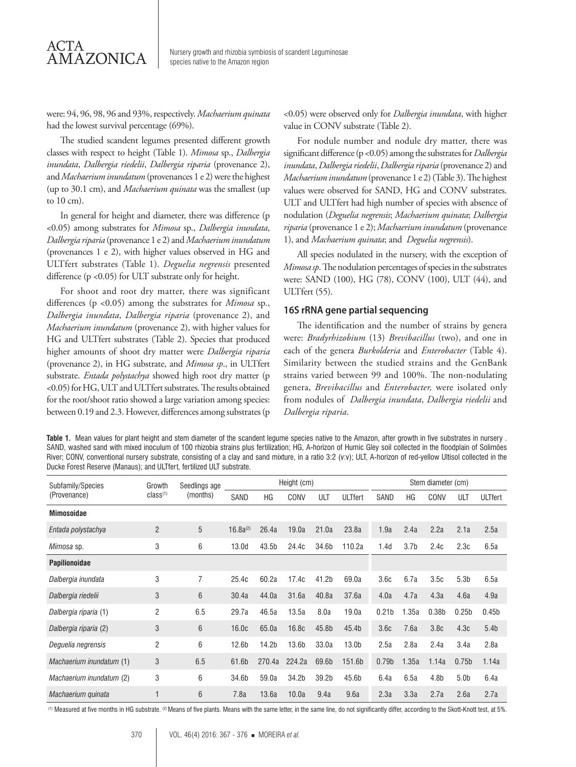## ACTA **AMAZONICA**

Nursery growth and rhizobia symbiosis of scandent Leguminosae species native to the Amazon region

were: 94, 96, 98, 96 and 93%, respectively. *Machaerium quinata* had the lowest survival percentage (69%).

The studied scandent legumes presented different growth classes with respect to height (Table 1). *Mimosa* sp., *Dalbergia inundata*, *Dalbergia riedelii*, *Dalbergia riparia* (provenance 2), and *Machaerium inundatum* (provenances 1 e 2) were the highest (up to 30.1 cm), and *Machaerium quinata* was the smallest (up to 10 cm).

In general for height and diameter, there was difference (p <0.05) among substrates for *Mimosa* sp., *Dalbergia inundata*, *Dalbergia riparia* (provenance 1 e 2) and *Machaerium inundatum* (provenances 1 e 2), with higher values observed in HG and ULTfert substrates (Table 1). *Deguelia negrensis* presented difference (p <0.05) for ULT substrate only for height.

For shoot and root dry matter, there was significant differences (p <0.05) among the substrates for *Mimosa* sp., *Dalbergia inundata*, *Dalbergia riparia* (provenance 2), and *Machaerium inundatum* (provenance 2), with higher values for HG and ULTfert substrates (Table 2). Species that produced higher amounts of shoot dry matter were *Dalbergia riparia* (provenance 2), in HG substrate, and *Mimosa sp*., in ULTfert substrate. *Entada polystachya* showed high root dry matter (p <0.05) for HG, ULT and ULTfert substrates. The results obtained for the root/shoot ratio showed a large variation among species: between 0.19 and 2.3. However, differences among substrates (p <0.05) were observed only for *Dalbergia inundata*, with higher value in CONV substrate (Table 2).

For nodule number and nodule dry matter, there was significant difference (p <0.05) among the substrates for *Dalbergia inundata*, *Dalbergia riedelii*, *Dalbergia riparia* (provenance 2) and *Machaerium inundatum* (provenance 1 e 2) (Table 3). The highest values were observed for SAND, HG and CONV substrates. ULT and ULTfert had high number of species with absence of nodulation (*Deguelia negrensis*; *Machaerium quinata*; *Dalbergia riparia* (provenance 1 e 2); *Machaerium inundatum* (provenance 1), and *Machaerium quinata*; and *Deguelia negrensis*).

All species nodulated in the nursery, with the exception of *Mimosa sp*. The nodulation percentages of species in the substrates were: SAND (100), HG (78), CONV (100), ULT (44), and ULTfert (55).

#### **16S rRNA gene partial sequencing**

The identification and the number of strains by genera were: *Bradyrhizobium* (13) *Brevibacillus* (two), and one in each of the genera *Burkolderia* and *Enterobacter* (Table 4). Similarity between the studied strains and the GenBank strains varied between 99 and 100%. The non-nodulating genera, *Brevibacillus* and *Enterobacter,* were isolated only from nodules of *Dalbergia inundata*, *Dalbergia riedelii* and *Dalbergia riparia*.

**Table 1.** Mean values for plant height and stem diameter of the scandent legume species native to the Amazon, after growth in five substrates in nursery . SAND, washed sand with mixed inoculum of 100 rhizobia strains plus fertilization; HG, A-horizon of Humic Gley soil collected in the floodplain of Solimões River; CONV, conventional nursery substrate, consisting of a clay and sand mixture, in a ratio 3:2 (v:v); ULT, A-horizon of red-yellow Ultisol collected in the Ducke Forest Reserve (Manaus); and ULTfert, fertilized ULT substrate.

| Subfamily/Species        | Growth<br>class <sup>(1)</sup> | Seedlings age<br>(months) | Height (cm)       |                   |                   |                   |                   | Stem diameter (cm) |                  |                  |                   |                   |
|--------------------------|--------------------------------|---------------------------|-------------------|-------------------|-------------------|-------------------|-------------------|--------------------|------------------|------------------|-------------------|-------------------|
| (Provenance)             |                                |                           | SAND              | ΗG                | CONV              | ULT               | <b>ULTfert</b>    | SAND               | HG               | CONV             | ULT               | <b>ULTfert</b>    |
| <b>Mimosoidae</b>        |                                |                           |                   |                   |                   |                   |                   |                    |                  |                  |                   |                   |
| Entada polystachya       | 2                              | 5                         | $16.8a^{(2)}$     | 26.4a             | 19.0a             | 21.0a             | 23.8a             | 1.9a               | 2.4a             | 2.2a             | 2.1a              | 2.5a              |
| Mimosa sp.               | 3                              | 6                         | 13.0 <sub>d</sub> | 43.5b             | 24.4c             | 34.6b             | 110.2a            | 1.4d               | 3.7 <sub>b</sub> | 2.4c             | 2.3c              | 6.5a              |
| <b>Papilionoidae</b>     |                                |                           |                   |                   |                   |                   |                   |                    |                  |                  |                   |                   |
| Dalbergia inundata       | 3                              | 7                         | 25.4c             | 60.2a             | 17.4c             | 41.2 <sub>b</sub> | 69.0a             | 3.6c               | 6.7a             | 3.5c             | 5.3 <sub>b</sub>  | 6.5a              |
| Dalbergia riedelii       | 3                              | 6                         | 30.4a             | 44.0a             | 31.6a             | 40.8a             | 37.6a             | 4.0a               | 4.7a             | 4.3a             | 4.6a              | 4.9a              |
| Dalbergia riparia (1)    | $\overline{c}$                 | 6.5                       | 29.7a             | 46.5a             | 13.5a             | 8.0a              | 19.0a             | 0.21 <sub>b</sub>  | 1.35a            | 0.38b            | 0.25 <sub>b</sub> | 0.45 <sub>b</sub> |
| Dalbergia riparia (2)    | 3                              | 6                         | 16.0 <sub>c</sub> | 65.0a             | 16.8c             | 45.8b             | 45.4b             | 3.6c               | 7.6a             | 3.8 <sub>c</sub> | 4.3c              | 5.4 <sub>b</sub>  |
| Deguelia negrensis       | 2                              | 6                         | 12.6 <sub>b</sub> | 14.2 <sub>b</sub> | 13.6 <sub>b</sub> | 33.0a             | 13.0 <sub>b</sub> | 2.5a               | 2.8a             | 2.4a             | 3.4a              | 2.8a              |
| Machaerium inundatum (1) | 3                              | 6.5                       | 61.6b             | 270.4a            | 224.2a            | 69.6b             | 151.6b            | 0.79 <sub>b</sub>  | 1.35a            | 1.14a            | 0.75 <sub>b</sub> | 1.14a             |
| Machaerium inundatum (2) | 3                              | 6                         | 34.6b             | 59.0a             | 34.2b             | 39.2b             | 45.6b             | 6.4a               | 6.5a             | 4.8 <sub>b</sub> | 5.0 <sub>b</sub>  | 6.4a              |
| Machaerium quinata       |                                | 6                         | 7.8a              | 13.6a             | 10.0a             | 9.4a              | 9.6a              | 2.3a               | 3.3a             | 2.7a             | 2.6a              | 2.7a              |

(1) Measured at five months in HG substrate. (2) Means of five plants. Means with the same letter, in the same line, do not significantly differ, according to the Skott-Knott test, at 5%.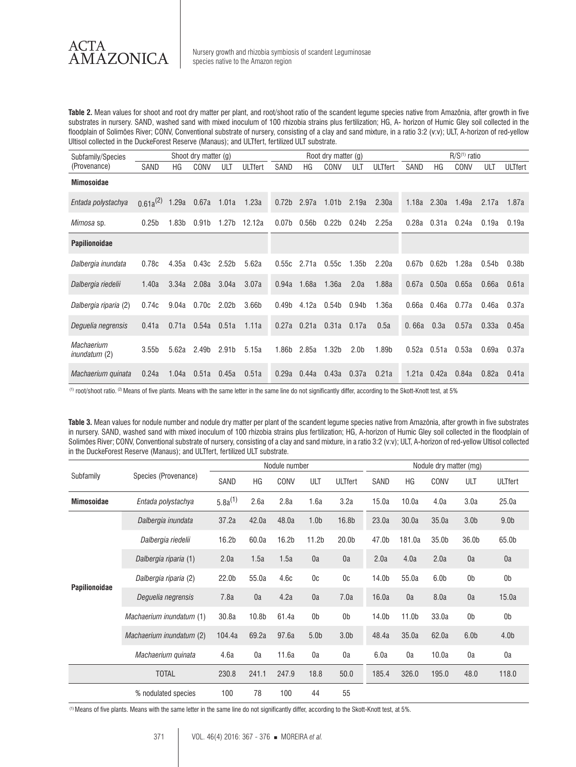

 $AMAZONICA$  Nursery growth and rhizobia symbiosis of scandent Leguminosae species native to the Amazon region

**Table 2.** Mean values for shoot and root dry matter per plant, and root/shoot ratio of the scandent legume species native from Amazônia, after growth in five substrates in nursery. SAND, washed sand with mixed inoculum of 100 rhizobia strains plus fertilization; HG, A- horizon of Humic Gley soil collected in the floodplain of Solimões River; CONV, Conventional substrate of nursery, consisting of a clay and sand mixture, in a ratio 3:2 (v:v); ULT, A-horizon of red-yellow Ultisol collected in the DuckeForest Reserve (Manaus); and ULTfert, fertilized ULT substrate.

| Subfamily/Species                         | Shoot dry matter (g) |                   |                   |                   |                | Root dry matter (g) |                   |                   |                   | $R/S(1)$ ratio |                   |                   |       |                   |                   |
|-------------------------------------------|----------------------|-------------------|-------------------|-------------------|----------------|---------------------|-------------------|-------------------|-------------------|----------------|-------------------|-------------------|-------|-------------------|-------------------|
| (Provenance)                              | SAND                 | ΗG                | CONV              | ULT               | <b>ULTfert</b> | SAND                | ΗG                | CONV              | ULT               | <b>ULTfert</b> | SAND              | ΗG                | CONV  | ULT               | <b>ULTfert</b>    |
| <b>Mimosoidae</b>                         |                      |                   |                   |                   |                |                     |                   |                   |                   |                |                   |                   |       |                   |                   |
| Entada polystachya                        | $0.61a^{(2)}$        | 1.29a             | 0.67a             | 1.01a             | 1.23a          | 0.72 <sub>b</sub>   | 2.97a             | 1.01 <sub>b</sub> | 2.19a             | 2.30a          | 1.18a             | 2.30a             | 1.49a | 2.17a             | 1.87a             |
| <i>Mimosa</i> sp.                         | 0.25 <sub>b</sub>    | 1.83 <sub>b</sub> | 0.91 <sub>b</sub> | 1.27 <sub>b</sub> | 12.12a         | 0.07 <sub>b</sub>   | 0.56 <sub>b</sub> | 0.22 <sub>b</sub> | 0.24 <sub>b</sub> | 2.25a          | 0.28a             | 0.31a             | 0.24a | 0.19a             | 0.19a             |
| <b>Papilionoidae</b>                      |                      |                   |                   |                   |                |                     |                   |                   |                   |                |                   |                   |       |                   |                   |
| Dalbergia inundata                        | 0.78c                | 4.35a             | 0.43c             | 2.52 <sub>b</sub> | 5.62a          | 0.55c               | 2.71a             | 0.55c             | 1.35 <sub>b</sub> | 2.20a          | 0.67 <sub>b</sub> | 0.62 <sub>b</sub> | 1.28a | 0.54 <sub>b</sub> | 0.38 <sub>b</sub> |
| Dalbergia riedelii                        | 1.40a                | 3.34a             | 2.08a             | 3.04a             | 3.07a          | 0.94a               | 1.68a             | 1.36a             | 2.0a              | 1.88a          | 0.67a             | 0.50a             | 0.65a | 0.66a             | 0.61a             |
| Dalbergia riparia (2)                     | 0.74c                | 9.04a             | 0.70c             | 2.02 <sub>b</sub> | 3.66b          | 0.49 <sub>b</sub>   | 4.12a             | 0.54 <sub>b</sub> | 0.94 <sub>b</sub> | 1.36a          | 0.66а             | 0.46а             | 0.77a | 0.46a             | 0.37a             |
| Deguelia negrensis                        | 0.41a                | 0.71a             | 0.54a             | 0.51a             | 1.11a          | 0.27a               |                   | 0.21a 0.31a 0.17a |                   | 0.5a           | 0.66a             | 0.3a              | 0.57a | 0.33a             | 0.45a             |
| <b>Machaerium</b><br><i>inundatum</i> (2) | 3.55 <sub>b</sub>    | 5.62a             | 2.49 <sub>b</sub> | 2.91 <sub>b</sub> | 5.15a          | 1.86b               | 2.85a             | 1.32 <sub>b</sub> | 2.0 <sub>b</sub>  | 1.89b          | 0.52a             | 0.51a             | 0.53a | 0.69a             | 0.37a             |
| Machaerium quinata                        | 0.24a                | 1.04a             | 0.51a             | 0.45a             | 0.51a          | 0.29a               | 0.44a             | 0.43a             | 0.37a             | 0.21a          | 1.21a             | 0.42a             | 0.84a | 0.82a             | 0.41a             |

(1) root/shoot ratio. (2) Means of five plants. Means with the same letter in the same line do not significantly differ, according to the Skott-Knott test, at 5%

**Table 3.** Mean values for nodule number and nodule dry matter per plant of the scandent legume species native from Amazônia, after growth in five substrates in nursery. SAND, washed sand with mixed inoculum of 100 rhizobia strains plus fertilization; HG, A-horizon of Humic Gley soil collected in the floodplain of Solimões River; CONV, Conventional substrate of nursery, consisting of a clay and sand mixture, in a ratio 3:2 (v:v); ULT, A-horizon of red-yellow Ultisol collected in the DuckeForest Reserve (Manaus); and ULTfert, fertilized ULT substrate.

| Subfamily            |                          | Nodule number     |                   |       |                   |                   |                   | Nodule dry matter (mg) |                  |                  |                  |  |  |
|----------------------|--------------------------|-------------------|-------------------|-------|-------------------|-------------------|-------------------|------------------------|------------------|------------------|------------------|--|--|
|                      | Species (Provenance)     | SAND              | HG                | CONV  | ULT               | <b>ULTfert</b>    | SAND              | HG                     | CONV             | ULT              | <b>ULTfert</b>   |  |  |
| <b>Mimosoidae</b>    | Entada polystachya       | $5.8a^{(1)}$      | 2.6a              | 2.8a  | 1.6a              | 3.2a              | 15.0a             | 10.0a                  | 4.0a             | 3.0a             | 25.0a            |  |  |
| <b>Papilionoidae</b> | Dalbergia inundata       | 37.2a             | 42.0a             | 48.0a | 1.0 <sub>b</sub>  | 16.8b             | 23.0a             | 30.0a                  | 35.0a            | 3.0 <sub>b</sub> | 9.0 <sub>b</sub> |  |  |
|                      | Dalbergia riedelii       | 16.2 <sub>b</sub> | 60.0a             | 16.2b | 11.2 <sub>b</sub> | 20.0 <sub>b</sub> | 47.0b             | 181.0a                 | 35.0b            | 36.0b            | 65.0b            |  |  |
|                      | Dalbergia riparia (1)    | 2.0a              | 1.5a              | 1.5a  | 0a                | 0a                | 2.0a              | 4.0a                   | 2.0a             | 0a               | 0a               |  |  |
|                      | Dalbergia riparia (2)    | 22.0b             | 55.0a             | 4.6c  | 0c                | 0c                | 14.0 <sub>b</sub> | 55.0a                  | 6.0 <sub>b</sub> | 0b               | 0 <sub>b</sub>   |  |  |
|                      | Deguelia negrensis       | 7.8a              | 0a                | 4.2a  | 0a                | 7.0a              | 16.0a             | 0a                     | 8.0a             | 0a               | 15.0a            |  |  |
|                      | Machaerium inundatum (1) | 30.8a             | 10.8 <sub>b</sub> | 61.4a | 0b                | 0 <sub>b</sub>    | 14.0b             | 11.0 <sub>b</sub>      | 33.0a            | 0b               | 0 <sub>b</sub>   |  |  |
|                      | Machaerium inundatum (2) | 104.4a            | 69.2a             | 97.6a | 5.0 <sub>b</sub>  | 3.0 <sub>b</sub>  | 48.4a             | 35.0a                  | 62.0a            | 6.0 <sub>b</sub> | 4.0 <sub>b</sub> |  |  |
|                      | Machaerium quinata       | 4.6a              | 0a                | 11.6a | 0a                | 0a                | 6.0a              | 0a                     | 10.0a            | 0a               | 0a               |  |  |
|                      | <b>TOTAL</b>             | 230.8             | 241.1             | 247.9 | 18.8              | 50.0              | 185.4             | 326.0                  | 195.0            | 48.0             | 118.0            |  |  |
|                      | % nodulated species      | 100               | 78                | 100   | 44                | 55                |                   |                        |                  |                  |                  |  |  |

(1) Means of five plants. Means with the same letter in the same line do not significantly differ, according to the Skott-Knott test, at 5%.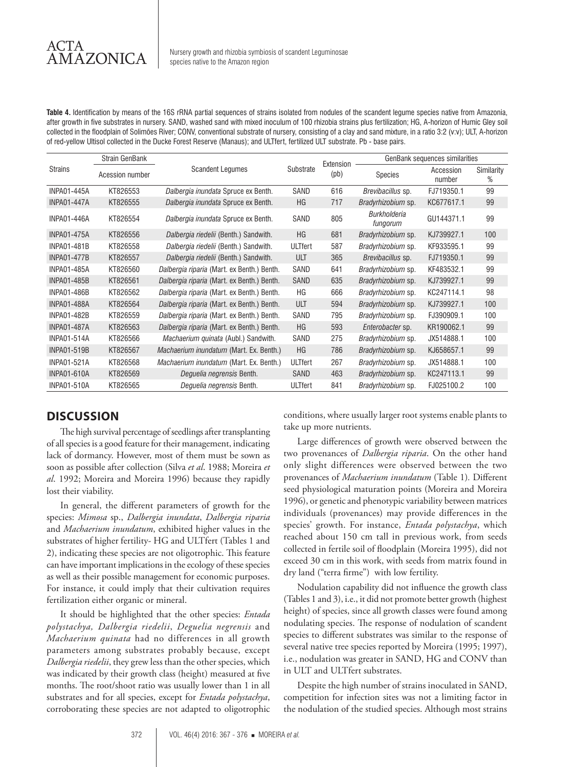**Table 4.** Identification by means of the 16S rRNA partial sequences of strains isolated from nodules of the scandent legume species native from Amazonia, after growth in five substrates in nursery. SAND, washed sand with mixed inoculum of 100 rhizobia strains plus fertilization; HG, A-horizon of Humic Gley soil collected in the floodplain of Solimões River; CONV, conventional substrate of nursery, consisting of a clay and sand mixture, in a ratio 3:2 (v:v); ULT, A-horizon of red-yellow Ultisol collected in the Ducke Forest Reserve (Manaus); and ULTfert, fertilized ULT substrate. Pb - base pairs.

|                    | <b>Strain GenBank</b> |                                             |           | Extension | GenBank sequences similarities  |                     |                 |  |  |
|--------------------|-----------------------|---------------------------------------------|-----------|-----------|---------------------------------|---------------------|-----------------|--|--|
| <b>Strains</b>     | Acession number       | <b>Scandent Lequmes</b>                     | Substrate | (pb)      | <b>Species</b>                  | Accession<br>number | Similarity<br>% |  |  |
| <b>INPA01-445A</b> | KT826553              | Dalbergia inundata Spruce ex Benth.         | SAND      | 616       | Brevibacillus sp.               | FJ719350.1          | 99              |  |  |
| <b>INPA01-447A</b> | KT826555              | Dalbergia inundata Spruce ex Benth.         | HG        | 717       | Bradyrhizobium sp.              | KC677617.1          | 99              |  |  |
| <b>INPA01-446A</b> | KT826554              | Dalbergia inundata Spruce ex Benth.         | SAND      | 805       | <b>Burkholderia</b><br>fungorum | GU144371.1          | 99              |  |  |
| <b>INPA01-475A</b> | KT826556              | Dalbergia riedelii (Benth.) Sandwith.       | HG        | 681       | Bradyrhizobium sp.              | KJ739927.1          | 100             |  |  |
| <b>INPA01-481B</b> | KT826558              | Dalbergia riedelii (Benth.) Sandwith.       | ULTfert   | 587       | Bradyrhizobium sp.              | KF933595.1          | 99              |  |  |
| <b>INPA01-477B</b> | KT826557              | Dalbergia riedelii (Benth.) Sandwith.       | ULT       | 365       | Brevibacillus sp.               | FJ719350.1          | 99              |  |  |
| <b>INPA01-485A</b> | KT826560              | Dalbergia riparia (Mart. ex Benth.) Benth.  | SAND      | 641       | Bradyrhizobium sp.              | KF483532.1          | 99              |  |  |
| <b>INPA01-485B</b> | KT826561              | Dalbergia riparia (Mart. ex Benth.) Benth.  | SAND      | 635       | Bradyrhizobium sp.              | KJ739927.1          | 99              |  |  |
| <b>INPA01-486B</b> | KT826562              | Dalbergia riparia (Mart. ex Benth.) Benth.  | ΗG        | 666       | Bradyrhizobium sp.              | KC247114.1          | 98              |  |  |
| <b>INPA01-488A</b> | KT826564              | Dalbergia riparia (Mart. ex Benth.) Benth.  | ULT       | 594       | Bradyrhizobium sp.              | KJ739927.1          | 100             |  |  |
| <b>INPA01-482B</b> | KT826559              | Dalbergia riparia (Mart. ex Benth.) Benth.  | SAND      | 795       | Bradyrhizobium sp.              | FJ390909.1          | 100             |  |  |
| <b>INPA01-487A</b> | KT826563              | Dalbergia riparia (Mart. ex Benth.) Benth.  | <b>HG</b> | 593       | Enterobacter sp.                | KR190062.1          | 99              |  |  |
| <b>INPA01-514A</b> | KT826566              | <i>Machaerium quinata (Aubl.) Sandwith.</i> | SAND      | 275       | <i>Bradyrhizobium</i> sp.       | JX514888.1          | 100             |  |  |
| <b>INPA01-519B</b> | KT826567              | Machaerium inundatum (Mart. Ex. Benth.)     | HG        | 786       | Bradyrhizobium sp.              | KJ658657.1          | 99              |  |  |
| <b>INPA01-521A</b> | KT826568              | Machaerium inundatum (Mart. Ex. Benth.)     | ULTfert   | 267       | Bradyrhizobium sp.              | JX514888.1          | 100             |  |  |
| <b>INPA01-610A</b> | KT826569              | Deguelia negrensis Benth.                   | SAND      | 463       | Bradyrhizobium sp.              | KC247113.1          | 99              |  |  |
| <b>INPA01-510A</b> | KT826565              | Dequelia negrensis Benth.                   | ULTfert   | 841       | Bradyrhizobium sp.              | FJ025100.2          | 100             |  |  |

## **DISCUSSION**

The high survival percentage of seedlings after transplanting of all species is a good feature for their management, indicating lack of dormancy. However, most of them must be sown as soon as possible after collection (Silva *et al*. 1988; Moreira *et al*. 1992; Moreira and Moreira 1996) because they rapidly lost their viability.

In general, the different parameters of growth for the species: *Mimosa* sp., *Dalbergia inundata*, *Dalbergia riparia* and *Machaerium inundatum*, exhibited higher values in the substrates of higher fertility- HG and ULTfert (Tables 1 and 2), indicating these species are not oligotrophic. This feature can have important implications in the ecology of these species as well as their possible management for economic purposes. For instance, it could imply that their cultivation requires fertilization either organic or mineral.

It should be highlighted that the other species: *Entada polystachya, Dalbergia riedelii*, *Deguelia negrensis* and *Machaerium quinata* had no differences in all growth parameters among substrates probably because, except *Dalbergia riedelii*, they grew less than the other species, which was indicated by their growth class (height) measured at five months. The root/shoot ratio was usually lower than 1 in all substrates and for all species, except for *Entada polystachya*, corroborating these species are not adapted to oligotrophic conditions, where usually larger root systems enable plants to take up more nutrients.

Large differences of growth were observed between the two provenances of *Dalbergia riparia*. On the other hand only slight differences were observed between the two provenances of *Machaerium inundatum* (Table 1)*.* Different seed physiological maturation points (Moreira and Moreira 1996), or genetic and phenotypic variability between matrices individuals (provenances) may provide differences in the species' growth. For instance, *Entada polystachya*, which reached about 150 cm tall in previous work, from seeds collected in fertile soil of floodplain (Moreira 1995), did not exceed 30 cm in this work, with seeds from matrix found in dry land ("terra firme") with low fertility.

Nodulation capability did not influence the growth class (Tables 1 and 3), i.e., it did not promote better growth (highest height) of species, since all growth classes were found among nodulating species. The response of nodulation of scandent species to different substrates was similar to the response of several native tree species reported by Moreira (1995; 1997), i.e., nodulation was greater in SAND, HG and CONV than in ULT and ULTfert substrates.

Despite the high number of strains inoculated in SAND, competition for infection sites was not a limiting factor in the nodulation of the studied species. Although most strains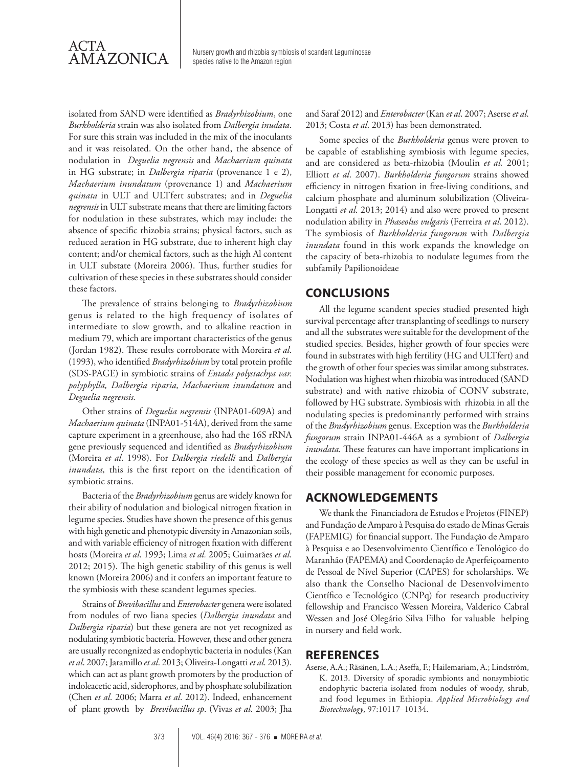

Nursery growth and rhizobia symbiosis of scandent Leguminosae species native to the Amazon region

isolated from SAND were identified as *Bradyrhizobium*, one *Burkholderia* strain was also isolated from *Dalbergia inudata*. For sure this strain was included in the mix of the inoculants and it was reisolated. On the other hand, the absence of nodulation in *Deguelia negrensis* and *Machaerium quinata* in HG substrate; in *Dalbergia riparia* (provenance 1 e 2), *Machaerium inundatum* (provenance 1) and *Machaerium quinata* in ULT and ULTfert substrates; and in *Deguelia negrensis* in ULT substrate means that there are limiting factors for nodulation in these substrates, which may include: the absence of specific rhizobia strains; physical factors, such as reduced aeration in HG substrate, due to inherent high clay content; and/or chemical factors, such as the high Al content in ULT substate (Moreira 2006). Thus, further studies for cultivation of these species in these substrates should consider these factors.

The prevalence of strains belonging to *Bradyrhizobium* genus is related to the high frequency of isolates of intermediate to slow growth, and to alkaline reaction in medium 79, which are important characteristics of the genus (Jordan 1982). These results corroborate with Moreira *et al*. (1993), who identified *Bradyrhizobium* by total protein profile (SDS-PAGE) in symbiotic strains of *Entada polystachya var. polyphylla, Dalbergia riparia, Machaerium inundatum* and *Deguelia negrensis.*

Other strains of *Deguelia negrensis* (INPA01-609A) and *Machaerium quinata* (INPA01-514A), derived from the same capture experiment in a greenhouse, also had the 16S rRNA gene previously sequenced and identified as *Bradyrhizobium*  (Moreira *et al*. 1998). For *Dalbergia riedelli* and *Dalbergia inundata,* this is the first report on the identification of symbiotic strains.

Bacteria of the *Bradyrhizobium* genus are widely known for their ability of nodulation and biological nitrogen fixation in legume species. Studies have shown the presence of this genus with high genetic and phenotypic diversity in Amazonian soils, and with variable efficiency of nitrogen fixation with different hosts (Moreira *et al*. 1993; Lima *et al.* 2005; Guimarães *et al*. 2012; 2015). The high genetic stability of this genus is well known (Moreira 2006) and it confers an important feature to the symbiosis with these scandent legumes species.

Strains of *Brevibacillus* and *Enterobacter* genera were isolated from nodules of two liana species (*Dalbergia inundata* and *Dalbergia riparia*) but these genera are not yet recognized as nodulating symbiotic bacteria. However, these and other genera are usually recongnized as endophytic bacteria in nodules (Kan *et al*. 2007; Jaramillo *et al*. 2013; Oliveira-Longatti *et al*. 2013). which can act as plant growth promoters by the production of indoleacetic acid, siderophores, and by phosphate solubilization (Chen *et al*. 2006; Marra *et al*. 2012). Indeed, enhancement of plant growth by *Brevibacillus sp*. (Vivas *et al*. 2003; Jha

and Saraf 2012) and *Enterobacter* (Kan *et al*. 2007; Aserse *et al*. 2013; Costa *et al*. 2013) has been demonstrated.

Some species of the *Burkholderia* genus were proven to be capable of establishing symbiosis with legume species, and are considered as beta-rhizobia (Moulin *et al.* 2001; Elliott *et al*. 2007). *Burkholderia fungorum* strains showed efficiency in nitrogen fixation in free-living conditions, and calcium phosphate and aluminum solubilization (Oliveira-Longatti *et al*. 2013; 2014) and also were proved to present nodulation ability in *Phaseolus vulgaris* (Ferreira *et al*. 2012). The symbiosis of *Burkholderia fungorum* with *Dalbergia inundata* found in this work expands the knowledge on the capacity of beta-rhizobia to nodulate legumes from the subfamily Papilionoideae

## **CONCLUSIONS**

All the legume scandent species studied presented high survival percentage after transplanting of seedlings to nursery and all the substrates were suitable for the development of the studied species. Besides, higher growth of four species were found in substrates with high fertility (HG and ULTfert) and the growth of other four species was similar among substrates. Nodulation was highest when rhizobia was introduced (SAND substrate) and with native rhizobia of CONV substrate, followed by HG substrate. Symbiosis with rhizobia in all the nodulating species is predominantly performed with strains of the *Bradyrhizobium* genus. Exception was the *Burkholderia fungorum* strain INPA01-446A as a symbiont of *Dalbergia inundata.* These features can have important implications in the ecology of these species as well as they can be useful in their possible management for economic purposes.

## **ACKNOWLEDGEMENTS**

We thank the Financiadora de Estudos e Projetos (FINEP) and Fundação de Amparo à Pesquisa do estado de Minas Gerais (FAPEMIG) for financial support. The Fundação de Amparo à Pesquisa e ao Desenvolvimento Científico e Tenológico do Maranhão (FAPEMA) and Coordenação de Aperfeiçoamento de Pessoal de Nível Superior (CAPES) for scholarships. We also thank the Conselho Nacional de Desenvolvimento Científico e Tecnológico (CNPq) for research productivity fellowship and Francisco Wessen Moreira, Valderico Cabral Wessen and José Olegário Silva Filho for valuable helping in nursery and field work.

### **REFERENCES**

Aserse, A.A.; Räsänen, L.A.; Aseffa, F.; Hailemariam, A.; Lindström, K. 2013. Diversity of sporadic symbionts and nonsymbiotic endophytic bacteria isolated from nodules of woody, shrub, and food legumes in Ethiopia. *Applied Microbiology and Biotechnology*, 97:10117–10134.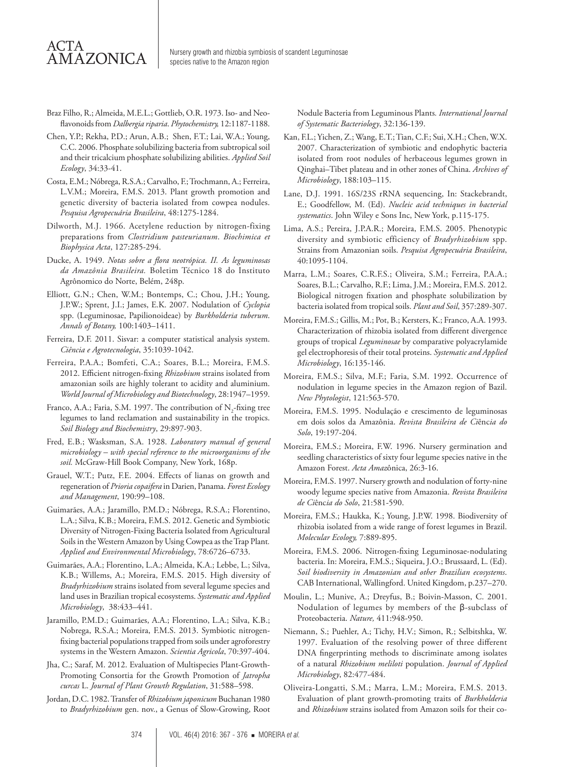# ACTA AMAZONICA

- Braz Filho, R.; Almeida, M.E.L.; Gottlieb, O.R. 1973. Iso- and Neoflavonoids from *Dalbergia riparia*. *Phytochemistry,* 12:1187-1188.
- Chen, Y.P.; Rekha, P.D.; Arun, A.B.; Shen, F.T.; Lai, W.A.; Young, C.C. 2006. Phosphate solubilizing bacteria from subtropical soil and their tricalcium phosphate solubilizing abilities. *Applied Soil Ecology*, 34:33-41.
- Costa, E.M.; Nóbrega, R.S.A.; Carvalho, F.; Trochmann, A.; Ferreira, L.V.M.; Moreira, F.M.S. 2013. Plant growth promotion and genetic diversity of bacteria isolated from cowpea nodules. *Pesquisa Agropecuária Brasileira*, 48:1275-1284.
- Dilworth, M.J. 1966. Acetylene reduction by nitrogen-fixing preparations from *Clostridium pasteurianum*. *Biochimica et Biophysica Acta*, 127:285-294.
- Ducke, A. 1949. *Notas sobre a flora neotrópica. II. As leguminosas da Amazônia Brasileira.* Boletim Técnico 18 do Instituto Agrônomico do Norte, Belém, 248p.
- Elliott, G.N.; Chen, W.M.; Bontemps, C.; Chou, J.H.; Young, J.P.W.; Sprent, J.I.; James, E.K. 2007. Nodulation of *Cyclopia* spp. (Leguminosae, Papilionoideae) by *Burkholderia tuberum*. *Annals of Botany,* 100:1403–1411.
- Ferreira, D.F. 2011. Sisvar: a computer statistical analysis system. *Ciência e Agrotecnologia*, 35:1039-1042.
- Ferreira, P.A.A.; Bomfeti, C.A.; Soares, B.L.; Moreira, F.M.S. 2012. Efficient nitrogen-fixing *Rhizobium* strains isolated from amazonian soils are highly tolerant to acidity and aluminium. *World Journal of Microbiology and Biotechnology*, 28:1947–1959.
- Franco, A.A.; Faria, S.M. 1997. The contribution of  $N_{2}$ -fixing tree legumes to land reclamation and sustainability in the tropics. *Soil Biology and Biochemistry*, 29:897-903.
- Fred, E.B.; Wasksman, S.A. 1928. *Laboratory manual of general microbiology – with special reference to the microorganisms of the soil.* McGraw-Hill Book Company, New York, 168p.
- Grauel, W.T.; Putz, F.E. 2004. Effects of lianas on growth and regeneration of *Prioria copaifera* in Darien, Panama. *Forest Ecology and Management*, 190:99–108.
- Guimarães, A.A.; Jaramillo, P.M.D.; Nóbrega, R.S.A.; Florentino, L.A.; Silva, K.B.; Moreira, F.M.S. 2012. Genetic and Symbiotic Diversity of Nitrogen-Fixing Bacteria Isolated from Agricultural Soils in the Western Amazon by Using Cowpea as the Trap Plant*. Applied and Environmental Microbiology*, 78:6726–6733.
- Guimarães, A.A.; Florentino, L.A.; Almeida, K.A.; Lebbe, L.; Silva, K.B.; Willems, A.; Moreira, F.M.S. 2015. High diversity of *Bradyrhizobium* strains isolated from several legume species and land uses in Brazilian tropical ecosystems. *Systematic and Applied Microbiology*, 38:433–441.
- Jaramillo, P.M.D.; Guimarães, A.A.; Florentino, L.A.; Silva, K.B.; Nobrega, R.S.A.; Moreira, F.M.S. 2013. Symbiotic nitrogenfixing bacterial populations trapped from soils under agroforestry systems in the Western Amazon. *Scientia Agricola*, 70:397-404.
- Jha, C.; Saraf, M. 2012. Evaluation of Multispecies Plant-Growth-Promoting Consortia for the Growth Promotion of *Jatropha curcas* L. *Journal of Plant Growth Regulation*, 31:588–598.
- Jordan, D.C. 1982. Transfer of *Rhizobium japonicum* Buchanan 1980 to *Bradyrhizobium* gen. nov., a Genus of Slow-Growing, Root

Nodule Bacteria from Leguminous Plants*. International Journal of Systematic Bacteriology*, 32:136-139.

- Kan, F.L.; Yichen, Z.; Wang, E.T.; Tian, C.F.; Sui, X.H.; Chen, W.X. 2007. Characterization of symbiotic and endophytic bacteria isolated from root nodules of herbaceous legumes grown in Qinghai–Tibet plateau and in other zones of China. *Archives of Microbiology*, 188:103–115.
- Lane, D.J. 1991. 16S/23S rRNA sequencing, In: Stackebrandt, E.; Goodfellow, M. (Ed). *Nucleic acid techniques in bacterial systematics*. John Wiley e Sons Inc, New York, p.115-175.
- Lima, A.S.; Pereira, J.P.A.R.; Moreira, F.M.S. 2005. Phenotypic diversity and symbiotic efficiency of *Bradyrhizobium* spp. Strains from Amazonian soils. *Pesquisa Agropecuária Brasileira*, 40:1095-1104.
- Marra, L.M.; Soares, C.R.F.S.; Oliveira, S.M.; Ferreira, P.A.A.; Soares, B.L.; Carvalho, R.F.; Lima, J.M.; Moreira, F.M.S. 2012. Biological nitrogen fixation and phosphate solubilization by bacteria isolated from tropical soils. *Plant and Soil*, 357:289-307.
- Moreira, F.M.S.; Gillis, M.; Pot, B.; Kersters, K.; Franco, A.A. 1993. Characterization of rhizobia isolated from different divergence groups of tropical *Leguminosae* by comparative polyacrylamide gel electrophoresis of their total proteins. *Systematic and Applied Microbiology*, 16:135-146.
- Moreira, F.M.S.; Silva, M.F.; Faria, S.M. 1992. Occurrence of nodulation in legume species in the Amazon region of Bazil. *New Phytologist*, 121:563-570.
- Moreira, F.M.S. 1995. Nodulação e crescimento de leguminosas em dois solos da Amazônia. *Revista Brasileira de Ci*ênc*ia do Solo*, 19:197-204.
- Moreira, F.M.S.; Moreira, F.W. 1996. Nursery germination and seedling characteristics of sixty four legume species native in the Amazon Forest. *Acta Amaz*ônica, 26:3-16.
- Moreira, F.M.S. 1997. Nursery growth and nodulation of forty-nine woody legume species native from Amazonia. *Revista Brasileira de Ci*ênc*ia do Solo*, 21:581-590.
- Moreira, F.M.S.; Haukka, K.; Young, J.P.W. 1998. Biodiversity of rhizobia isolated from a wide range of forest legumes in Brazil. *Molecular Ecology,* 7:889-895.
- Moreira, F.M.S. 2006. Nitrogen-fixing Leguminosae-nodulating bacteria. In: Moreira, F.M.S.; Siqueira, J.O.; Brussaard, L. (Ed). *Soil biodiversity in Amazonian and other Brazilian ecosystems*. CAB International, Wallingford. United Kingdom, p.237–270.
- Moulin, L.; Munive, A.; Dreyfus, B.; Boivin-Masson, C. 2001. Nodulation of legumes by members of the β-subclass of Proteobacteria. *Nature,* 411:948-950.
- Niemann, S.; Puehler, A.; Tichy, H.V.; Simon, R.; Selbitshka, W. 1997. Evaluation of the resolving power of three different DNA fingerprinting methods to discriminate among isolates of a natural *Rhizobium meliloti* population. *Journal of Applied Microbiology*, 82:477-484.
- Oliveira-Longatti, S.M.; Marra, L.M.; Moreira, F.M.S. 2013. Evaluation of plant growth-promoting traits of *Burkholderia*  and *Rhizobium* strains isolated from Amazon soils for their co-